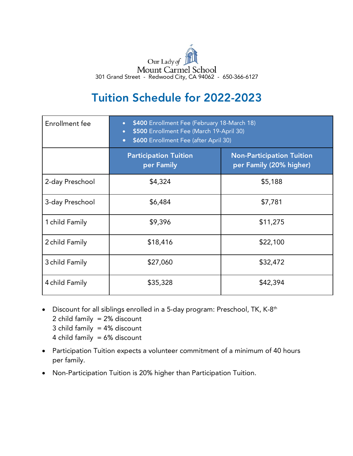

## Tuition Schedule for 2022-2023

| Enrollment fee  | \$400 Enrollment Fee (February 18-March 18)<br>\$500 Enrollment Fee (March 19-April 30)<br>$\bullet$<br>\$600 Enrollment Fee (after April 30)<br>$\bullet$ |                                                             |
|-----------------|------------------------------------------------------------------------------------------------------------------------------------------------------------|-------------------------------------------------------------|
|                 | <b>Participation Tuition</b><br>per Family                                                                                                                 | <b>Non-Participation Tuition</b><br>per Family (20% higher) |
| 2-day Preschool | \$4,324                                                                                                                                                    | \$5,188                                                     |
| 3-day Preschool | \$6,484                                                                                                                                                    | \$7,781                                                     |
| 1 child Family  | \$9,396                                                                                                                                                    | \$11,275                                                    |
| 2 child Family  | \$18,416                                                                                                                                                   | \$22,100                                                    |
| 3 child Family  | \$27,060                                                                                                                                                   | \$32,472                                                    |
| 4 child Family  | \$35,328                                                                                                                                                   | \$42,394                                                    |

- Discount for all siblings enrolled in a 5-day program: Preschool, TK, K-8<sup>th</sup>
	- 2 child family = 2% discount
	- 3 child family  $= 4\%$  discount
	- 4 child family = 6% discount
- Participation Tuition expects a volunteer commitment of a minimum of 40 hours per family.
- Non-Participation Tuition is 20% higher than Participation Tuition.